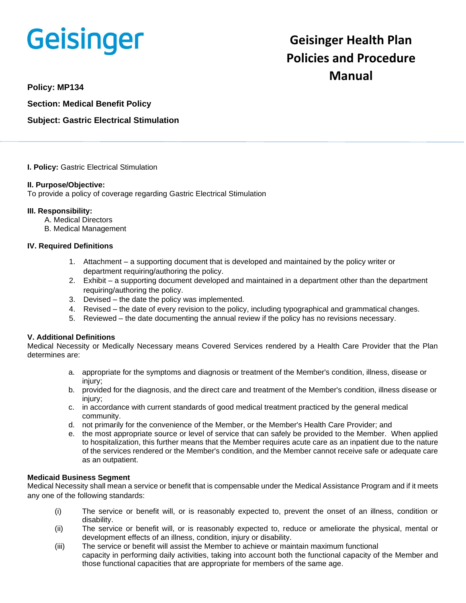# **Geisinger**

# **Geisinger Health Plan Policies and Procedure Manual**

**Policy: MP134**

**Section: Medical Benefit Policy**

**Subject: Gastric Electrical Stimulation**

**I. Policy:** Gastric Electrical Stimulation

#### **II. Purpose/Objective:**

To provide a policy of coverage regarding Gastric Electrical Stimulation

#### **III. Responsibility:**

- A. Medical Directors
- B. Medical Management

#### **IV. Required Definitions**

- 1. Attachment a supporting document that is developed and maintained by the policy writer or department requiring/authoring the policy.
- 2. Exhibit a supporting document developed and maintained in a department other than the department requiring/authoring the policy.
- 3. Devised the date the policy was implemented.
- 4. Revised the date of every revision to the policy, including typographical and grammatical changes.
- 5. Reviewed the date documenting the annual review if the policy has no revisions necessary.

## **V. Additional Definitions**

Medical Necessity or Medically Necessary means Covered Services rendered by a Health Care Provider that the Plan determines are:

- a. appropriate for the symptoms and diagnosis or treatment of the Member's condition, illness, disease or injury;
- b. provided for the diagnosis, and the direct care and treatment of the Member's condition, illness disease or injury;
- c. in accordance with current standards of good medical treatment practiced by the general medical community.
- d. not primarily for the convenience of the Member, or the Member's Health Care Provider; and
- e. the most appropriate source or level of service that can safely be provided to the Member. When applied to hospitalization, this further means that the Member requires acute care as an inpatient due to the nature of the services rendered or the Member's condition, and the Member cannot receive safe or adequate care as an outpatient.

#### **Medicaid Business Segment**

Medical Necessity shall mean a service or benefit that is compensable under the Medical Assistance Program and if it meets any one of the following standards:

- (i) The service or benefit will, or is reasonably expected to, prevent the onset of an illness, condition or disability.
- (ii) The service or benefit will, or is reasonably expected to, reduce or ameliorate the physical, mental or development effects of an illness, condition, injury or disability.
- (iii) The service or benefit will assist the Member to achieve or maintain maximum functional capacity in performing daily activities, taking into account both the functional capacity of the Member and those functional capacities that are appropriate for members of the same age.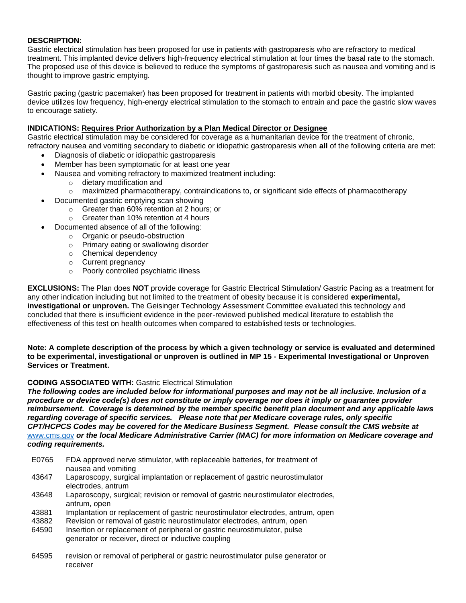## **DESCRIPTION:**

Gastric electrical stimulation has been proposed for use in patients with gastroparesis who are refractory to medical treatment. This implanted device delivers high-frequency electrical stimulation at four times the basal rate to the stomach. The proposed use of this device is believed to reduce the symptoms of gastroparesis such as nausea and vomiting and is thought to improve gastric emptying.

Gastric pacing (gastric pacemaker) has been proposed for treatment in patients with morbid obesity. The implanted device utilizes low frequency, high-energy electrical stimulation to the stomach to entrain and pace the gastric slow waves to encourage satiety.

# **INDICATIONS: Requires Prior Authorization by a Plan Medical Director or Designee**

Gastric electrical stimulation may be considered for coverage as a humanitarian device for the treatment of chronic, refractory nausea and vomiting secondary to diabetic or idiopathic gastroparesis when **all** of the following criteria are met:

- Diagnosis of diabetic or idiopathic gastroparesis
- Member has been symptomatic for at least one year
- Nausea and vomiting refractory to maximized treatment including:
	- o dietary modification and
		- $\circ$  maximized pharmacotherapy, contraindications to, or significant side effects of pharmacotherapy
- Documented gastric emptying scan showing
	- o Greater than 60% retention at 2 hours; or
	- o Greater than 10% retention at 4 hours
	- Documented absence of all of the following:
		- o Organic or pseudo-obstruction
		- o Primary eating or swallowing disorder
		- o Chemical dependency
		- o Current pregnancy
		- o Poorly controlled psychiatric illness

**EXCLUSIONS:** The Plan does **NOT** provide coverage for Gastric Electrical Stimulation/ Gastric Pacing as a treatment for any other indication including but not limited to the treatment of obesity because it is considered **experimental, investigational or unproven.** The Geisinger Technology Assessment Committee evaluated this technology and concluded that there is insufficient evidence in the peer-reviewed published medical literature to establish the effectiveness of this test on health outcomes when compared to established tests or technologies.

**Note: A complete description of the process by which a given technology or service is evaluated and determined to be experimental, investigational or unproven is outlined in MP 15 - Experimental Investigational or Unproven Services or Treatment.**

#### **CODING ASSOCIATED WITH:** Gastric Electrical Stimulation

*The following codes are included below for informational purposes and may not be all inclusive. Inclusion of a procedure or device code(s) does not constitute or imply coverage nor does it imply or guarantee provider reimbursement. Coverage is determined by the member specific benefit plan document and any applicable laws regarding coverage of specific services. Please note that per Medicare coverage rules, only specific CPT/HCPCS Codes may be covered for the Medicare Business Segment. Please consult the CMS website at*  [www.cms.gov](http://www.cms.gov/) *or the local Medicare Administrative Carrier (MAC) for more information on Medicare coverage and coding requirements.*

- E0765 FDA approved nerve stimulator, with replaceable batteries, for treatment of nausea and vomiting
- 43647 Laparoscopy, surgical implantation or replacement of gastric neurostimulator electrodes, antrum
- 43648 Laparoscopy, surgical; revision or removal of gastric neurostimulator electrodes, antrum, open
- 43881 Implantation or replacement of gastric neurostimulator electrodes, antrum, open
- 43882 Revision or removal of gastric neurostimulator electrodes, antrum, open
- 64590 Insertion or replacement of peripheral or gastric neurostimulator, pulse generator or receiver, direct or inductive coupling
- 64595 revision or removal of peripheral or gastric neurostimulator pulse generator or receiver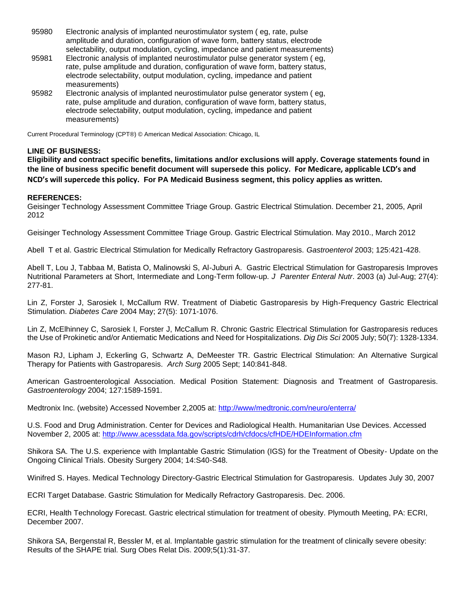- 95980 Electronic analysis of implanted neurostimulator system ( eg, rate, pulse amplitude and duration, configuration of wave form, battery status, electrode selectability, output modulation, cycling, impedance and patient measurements)
- 95981 Electronic analysis of implanted neurostimulator pulse generator system ( eg, rate, pulse amplitude and duration, configuration of wave form, battery status, electrode selectability, output modulation, cycling, impedance and patient measurements)
- 95982 Electronic analysis of implanted neurostimulator pulse generator system ( eg, rate, pulse amplitude and duration, configuration of wave form, battery status, electrode selectability, output modulation, cycling, impedance and patient measurements)

Current Procedural Terminology (CPT®) © American Medical Association: Chicago, IL

#### **LINE OF BUSINESS:**

**Eligibility and contract specific benefits, limitations and/or exclusions will apply. Coverage statements found in the line of business specific benefit document will supersede this policy. For Medicare, applicable LCD's and NCD's will supercede this policy. For PA Medicaid Business segment, this policy applies as written.**

#### **REFERENCES:**

Geisinger Technology Assessment Committee Triage Group. Gastric Electrical Stimulation. December 21, 2005, April 2012

Geisinger Technology Assessment Committee Triage Group. Gastric Electrical Stimulation. May 2010., March 2012

Abell T et al. Gastric Electrical Stimulation for Medically Refractory Gastroparesis. *Gastroenterol* 2003; 125:421-428.

Abell T, Lou J, Tabbaa M, Batista O, Malinowski S, Al-Juburi A. Gastric Electrical Stimulation for Gastroparesis Improves Nutritional Parameters at Short, Intermediate and Long-Term follow-up. *J Parenter Enteral Nutr*. 2003 (a) Jul-Aug; 27(4): 277-81.

Lin Z, Forster J, Sarosiek I, McCallum RW. Treatment of Diabetic Gastroparesis by High-Frequency Gastric Electrical Stimulation. *Diabetes Care* 2004 May; 27(5): 1071-1076.

Lin Z, McElhinney C, Sarosiek I, Forster J, McCallum R. Chronic Gastric Electrical Stimulation for Gastroparesis reduces the Use of Prokinetic and/or Antiematic Medications and Need for Hospitalizations. *Dig Dis Sci* 2005 July; 50(7): 1328-1334.

Mason RJ, Lipham J, Eckerling G, Schwartz A, DeMeester TR. Gastric Electrical Stimulation: An Alternative Surgical Therapy for Patients with Gastroparesis. *Arch Surg* 2005 Sept; 140:841-848.

American Gastroenterological Association. Medical Position Statement: Diagnosis and Treatment of Gastroparesis. *Gastroenterology* 2004; 127:1589-1591.

Medtronix Inc. (website) Accessed November 2,2005 at:<http://www/medtronic.com/neuro/enterra/>

U.S. Food and Drug Administration. Center for Devices and Radiological Health. Humanitarian Use Devices. Accessed November 2, 2005 at:<http://www.acessdata.fda.gov/scripts/cdrh/cfdocs/cfHDE/HDEInformation.cfm>

Shikora SA. The U.S. experience with Implantable Gastric Stimulation (IGS) for the Treatment of Obesity- Update on the Ongoing Clinical Trials. Obesity Surgery 2004; 14:S40-S48.

Winifred S. Hayes. Medical Technology Directory-Gastric Electrical Stimulation for Gastroparesis. Updates July 30, 2007

ECRI Target Database. Gastric Stimulation for Medically Refractory Gastroparesis. Dec. 2006.

ECRI, Health Technology Forecast. Gastric electrical stimulation for treatment of obesity. Plymouth Meeting, PA: ECRI, December 2007.

Shikora SA, Bergenstal R, Bessler M, et al. Implantable gastric stimulation for the treatment of clinically severe obesity: Results of the SHAPE trial. Surg Obes Relat Dis. 2009;5(1):31-37.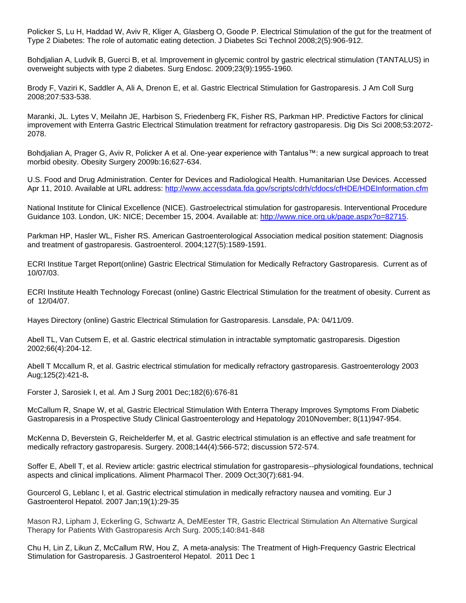Policker S, Lu H, Haddad W, Aviv R, Kliger A, Glasberg O, Goode P. Electrical Stimulation of the gut for the treatment of Type 2 Diabetes: The role of automatic eating detection. J Diabetes Sci Technol 2008;2(5):906-912.

Bohdjalian A, Ludvik B, Guerci B, et al. Improvement in glycemic control by gastric electrical stimulation (TANTALUS) in overweight subjects with type 2 diabetes. Surg Endosc. 2009;23(9):1955-1960.

Brody F, Vaziri K, Saddler A, Ali A, Drenon E, et al. Gastric Electrical Stimulation for Gastroparesis. J Am Coll Surg 2008;207:533-538.

Maranki, JL. Lytes V, Meilahn JE, Harbison S, Friedenberg FK, Fisher RS, Parkman HP. Predictive Factors for clinical improvement with Enterra Gastric Electrical Stimulation treatment for refractory gastroparesis. Dig Dis Sci 2008;53:2072- 2078.

Bohdjalian A, Prager G, Aviv R, Policker A et al. One-year experience with Tantalus™: a new surgical approach to treat morbid obesity. Obesity Surgery 2009b:16;627-634.

U.S. Food and Drug Administration. Center for Devices and Radiological Health. Humanitarian Use Devices. Accessed Apr 11, 2010. Available at URL address:<http://www.accessdata.fda.gov/scripts/cdrh/cfdocs/cfHDE/HDEInformation.cfm>

National Institute for Clinical Excellence (NICE). Gastroelectrical stimulation for gastroparesis. Interventional Procedure Guidance 103. London, UK: NICE; December 15, 2004. Available at: [http://www.nice.org.uk/page.aspx?o=82715.](http://www.nice.org.uk/page.aspx?o=82715)

Parkman HP, Hasler WL, Fisher RS. American Gastroenterological Association medical position statement: Diagnosis and treatment of gastroparesis. Gastroenterol. 2004;127(5):1589-1591.

ECRI Institue Target Report(online) Gastric Electrical Stimulation for Medically Refractory Gastroparesis. Current as of 10/07/03.

ECRI Institute Health Technology Forecast (online) Gastric Electrical Stimulation for the treatment of obesity. Current as of 12/04/07.

Hayes Directory (online) Gastric Electrical Stimulation for Gastroparesis. Lansdale, PA: 04/11/09.

Abell TL, Van Cutsem E, et al. Gastric electrical stimulation in intractable symptomatic gastroparesis. Digestion 2002;66(4):204-12.

Abell T Mccallum R, et al. Gastric electrical stimulation for medically refractory gastroparesis. Gastroenterology 2003 Aug;125(2):421-8**.**

Forster J, Sarosiek I, et al. Am J Surg 2001 Dec;182(6):676-81

McCallum R, Snape W, et al, Gastric Electrical Stimulation With Enterra Therapy Improves Symptoms From Diabetic Gastroparesis in a Prospective Study Clinical Gastroenterology and Hepatology 2010November; 8(11)947-954.

McKenna D, Beverstein G, Reichelderfer M, et al. Gastric electrical stimulation is an effective and safe treatment for medically refractory gastroparesis. Surgery. 2008;144(4):566-572; discussion 572-574.

Soffer E, Abell T, et al. Review article: gastric electrical stimulation for gastroparesis--physiological foundations, technical aspects and clinical implications. Aliment Pharmacol Ther. 2009 Oct;30(7):681-94.

Gourcerol G, Leblanc I, et al. Gastric electrical stimulation in medically refractory nausea and vomiting. Eur J Gastroenterol Hepatol. 2007 Jan;19(1):29-35

Mason RJ, Lipham J, Eckerling G, Schwartz A, DeMEester TR, Gastric Electrical Stimulation An Alternative Surgical Therapy for Patients With Gastroparesis Arch Surg. 2005;140:841-848

Chu H, Lin Z, Likun Z, McCallum RW, Hou Z, A meta-analysis: The Treatment of High-Frequency Gastric Electrical Stimulation for Gastroparesis. J Gastroenterol Hepatol. 2011 Dec 1